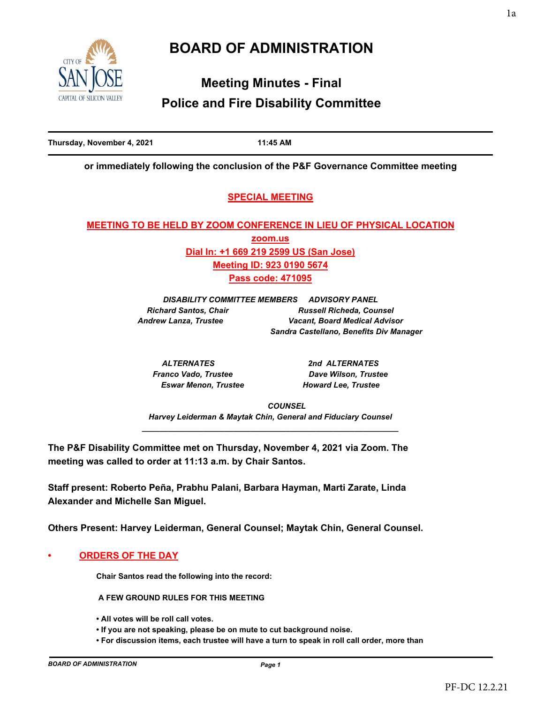# **BOARD OF ADMINISTRATION**



# **Meeting Minutes - Final Police and Fire Disability Committee**

**Thursday, November 4, 2021 11:45 AM**

**or immediately following the conclusion of the P&F Governance Committee meeting**

## **SPECIAL MEETING**

# **MEETING TO BE HELD BY ZOOM CONFERENCE IN LIEU OF PHYSICAL LOCATION zoom.us Dial In: +1 669 219 2599 US (San Jose) Meeting ID: 923 0190 5674 Pass code: 471095**

*DISABILITY COMMITTEE MEMBERS ADVISORY PANEL Richard Santos, Chair Russell Richeda, Counsel Andrew Lanza, Trustee Vacant, Board Medical Advisor Sandra Castellano, Benefits Div Manager*

*ALTERNATES 2nd ALTERNATES Franco Vado, Trustee Dave Wilson, Trustee Eswar Menon, Trustee Howard Lee, Trustee*

 *COUNSEL Harvey Leiderman & Maytak Chin, General and Fiduciary Counsel \_\_\_\_\_\_\_\_\_\_\_\_\_\_\_\_\_\_\_\_\_\_\_\_\_\_\_\_\_\_\_\_\_\_\_\_\_\_\_\_\_\_\_\_\_\_\_\_\_\_\_\_\_\_\_\_\_\_\_*

**The P&F Disability Committee met on Thursday, November 4, 2021 via Zoom. The meeting was called to order at 11:13 a.m. by Chair Santos.**

**Staff present: Roberto Peña, Prabhu Palani, Barbara Hayman, Marti Zarate, Linda Alexander and Michelle San Miguel.**

**Others Present: Harvey Leiderman, General Counsel; Maytak Chin, General Counsel.**

**• ORDERS OF THE DAY**

**Chair Santos read the following into the record:**

 **A FEW GROUND RULES FOR THIS MEETING** 

- **All votes will be roll call votes.**
- **If you are not speaking, please be on mute to cut background noise.**
- **For discussion items, each trustee will have a turn to speak in roll call order, more than**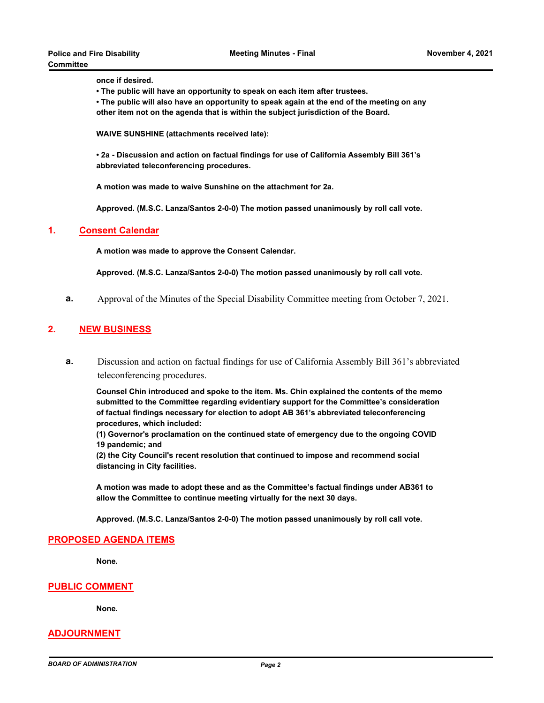**once if desired.**

- **The public will have an opportunity to speak on each item after trustees.**
- **The public will also have an opportunity to speak again at the end of the meeting on any other item not on the agenda that is within the subject jurisdiction of the Board.**

**WAIVE SUNSHINE (attachments received late):**

**• 2a - Discussion and action on factual findings for use of California Assembly Bill 361's abbreviated teleconferencing procedures.**

**A motion was made to waive Sunshine on the attachment for 2a.** 

**Approved. (M.S.C. Lanza/Santos 2-0-0) The motion passed unanimously by roll call vote.**

#### **1. Consent Calendar**

**A motion was made to approve the Consent Calendar.**

**Approved. (M.S.C. Lanza/Santos 2-0-0) The motion passed unanimously by roll call vote.**

**a.** Approval of the Minutes of the Special Disability Committee meeting from October 7, 2021.

### **2. NEW BUSINESS**

**a.** Discussion and action on factual findings for use of California Assembly Bill 361's abbreviated teleconferencing procedures.

**Counsel Chin introduced and spoke to the item. Ms. Chin explained the contents of the memo submitted to the Committee regarding evidentiary support for the Committee's consideration of factual findings necessary for election to adopt AB 361's abbreviated teleconferencing procedures, which included:**

**(1) Governor's proclamation on the continued state of emergency due to the ongoing COVID 19 pandemic; and** 

**(2) the City Council's recent resolution that continued to impose and recommend social distancing in City facilities.**

**A motion was made to adopt these and as the Committee's factual findings under AB361 to allow the Committee to continue meeting virtually for the next 30 days.**

**Approved. (M.S.C. Lanza/Santos 2-0-0) The motion passed unanimously by roll call vote.**

#### **PROPOSED AGENDA ITEMS**

**None.**

#### **PUBLIC COMMENT**

**None.**

### **ADJOURNMENT**